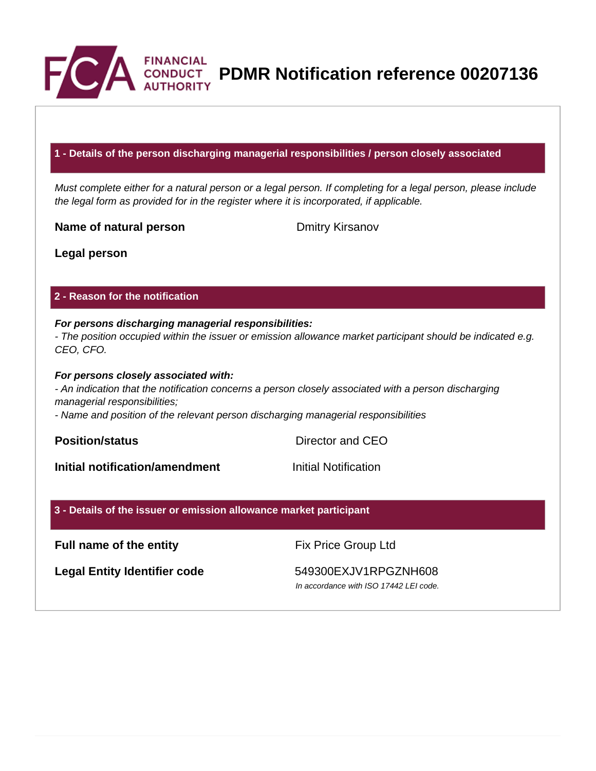

**PDMR Notification reference 00207136**

#### **1 - Details of the person discharging managerial responsibilities / person closely associated**

Must complete either for a natural person or a legal person. If completing for a legal person, please include the legal form as provided for in the register where it is incorporated, if applicable.

**Name of natural person** Dmitry Kirsanov

**Legal person**

### **2 - Reason for the notification**

# **For persons discharging managerial responsibilities:** - The position occupied within the issuer or emission allowance market participant should be indicated e.g.

CEO, CFO.

#### **For persons closely associated with:**

- An indication that the notification concerns a person closely associated with a person discharging managerial responsibilities;

- Name and position of the relevant person discharging managerial responsibilities

**Position/status** Director and CEO

**Initial notification/amendment Initial Notification** 

# **3 - Details of the issuer or emission allowance market participant**

**Full name of the entity** Fix Price Group Ltd

Legal Entity Identifier code 549300EXJV1RPGZNH608

In accordance with ISO 17442 LEI code.